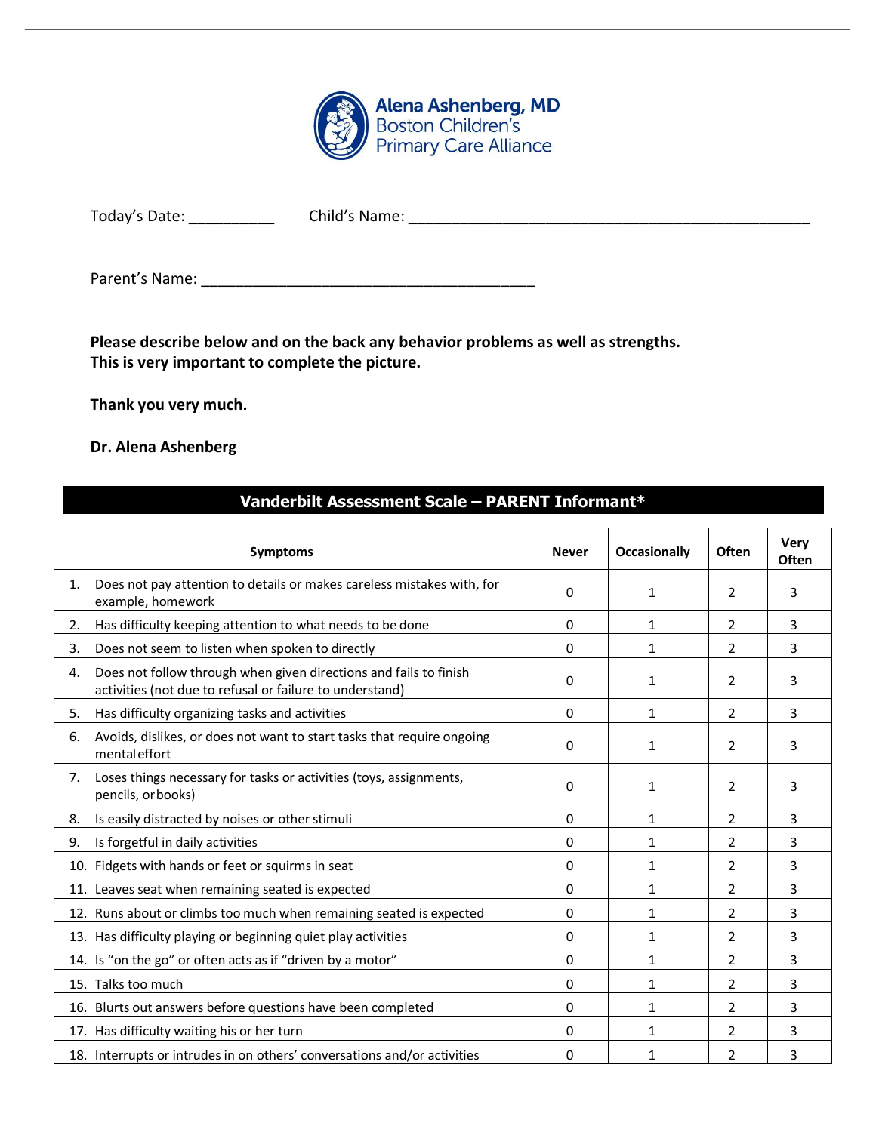

| Today's Date: | Child's Name: |
|---------------|---------------|
|               |               |

Parent's Name: \_\_\_\_\_\_\_\_\_\_\_\_\_\_\_\_\_\_\_\_\_\_\_\_\_\_\_\_\_\_\_\_\_\_\_\_\_\_\_

**Please describe below and on the back any behavior problems as well as strengths. This is very important to complete the picture.**

**Thank you very much.**

## **Dr. Alena Ashenberg**

## **Vanderbilt Assessment Scale – PARENT Informant\***

|    | <b>Symptoms</b>                                                                                                               | <b>Never</b> | <b>Occasionally</b> | <b>Often</b>   | Very<br>Often |
|----|-------------------------------------------------------------------------------------------------------------------------------|--------------|---------------------|----------------|---------------|
| 1. | Does not pay attention to details or makes careless mistakes with, for<br>example, homework                                   | 0            | 1                   | $\overline{2}$ | 3             |
| 2. | Has difficulty keeping attention to what needs to be done                                                                     | $\Omega$     | 1                   | $\overline{2}$ | 3             |
| 3. | Does not seem to listen when spoken to directly                                                                               | 0            | 1                   | $\overline{2}$ | 3             |
| 4. | Does not follow through when given directions and fails to finish<br>activities (not due to refusal or failure to understand) | 0            | 1                   | 2              | 3             |
| 5. | Has difficulty organizing tasks and activities                                                                                | 0            | 1                   | $\overline{2}$ | 3             |
| 6. | Avoids, dislikes, or does not want to start tasks that require ongoing<br>mental effort                                       | 0            | 1                   | $\overline{2}$ | 3             |
| 7. | Loses things necessary for tasks or activities (toys, assignments,<br>pencils, or books)                                      | 0            | 1                   | $\overline{2}$ | 3             |
| 8. | Is easily distracted by noises or other stimuli                                                                               | 0            | $\mathbf{1}$        | $\overline{2}$ | 3             |
| 9. | Is forgetful in daily activities                                                                                              | 0            | 1                   | 2              | 3             |
|    | 10. Fidgets with hands or feet or squirms in seat                                                                             | 0            | 1                   | $\overline{2}$ | 3             |
|    | 11. Leaves seat when remaining seated is expected                                                                             | 0            | $\mathbf{1}$        | $\overline{2}$ | 3             |
|    | 12. Runs about or climbs too much when remaining seated is expected                                                           | 0            | $\mathbf{1}$        | $\overline{2}$ | 3             |
|    | 13. Has difficulty playing or beginning quiet play activities                                                                 | 0            | $\mathbf{1}$        | 2              | 3             |
|    | 14. Is "on the go" or often acts as if "driven by a motor"                                                                    | 0            | 1                   | $\overline{2}$ | 3             |
|    | 15. Talks too much                                                                                                            | 0            | 1                   | $\overline{2}$ | 3             |
|    | 16. Blurts out answers before questions have been completed                                                                   | 0            | $\mathbf{1}$        | $\overline{2}$ | 3             |
|    | 17. Has difficulty waiting his or her turn                                                                                    | 0            | $\mathbf{1}$        | 2              | 3             |
|    | 18. Interrupts or intrudes in on others' conversations and/or activities                                                      | 0            | 1                   | $\overline{2}$ | 3             |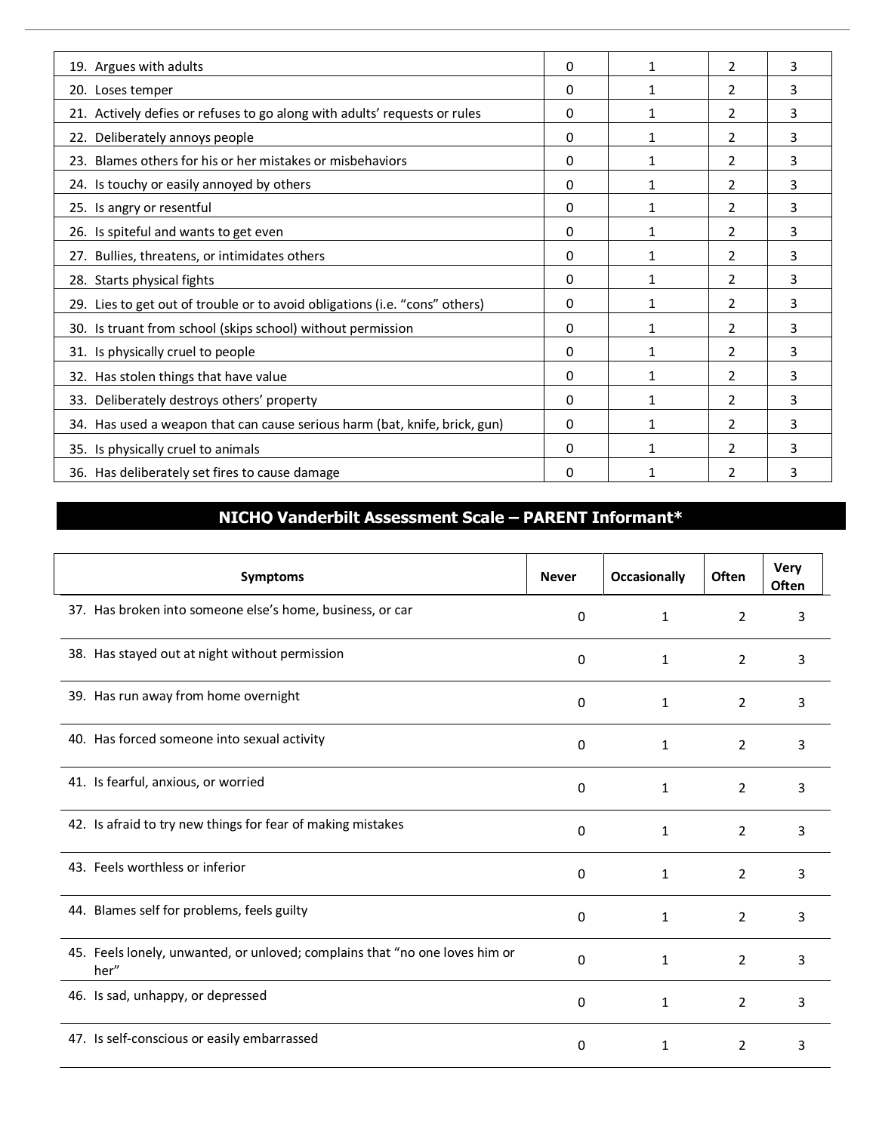| 19. Argues with adults                                                      | 0 | 1 | $\overline{2}$ | 3 |
|-----------------------------------------------------------------------------|---|---|----------------|---|
| 20. Loses temper                                                            | 0 | 1 | $\overline{2}$ | 3 |
| 21. Actively defies or refuses to go along with adults' requests or rules   | 0 | 1 | $\overline{2}$ | 3 |
| 22. Deliberately annoys people                                              | 0 | 1 | $\overline{2}$ | 3 |
| 23. Blames others for his or her mistakes or misbehaviors                   | 0 | 1 | 2              | 3 |
| 24. Is touchy or easily annoyed by others                                   | 0 | 1 | $\overline{2}$ | 3 |
| 25. Is angry or resentful                                                   | 0 | 1 | 2              | 3 |
| 26. Is spiteful and wants to get even                                       | 0 | 1 | 2              | 3 |
| 27. Bullies, threatens, or intimidates others                               | 0 | 1 | $\overline{2}$ | 3 |
| 28. Starts physical fights                                                  | 0 | 1 | 2              | 3 |
| 29. Lies to get out of trouble or to avoid obligations (i.e. "cons" others) | 0 |   | 2              | 3 |
| 30. Is truant from school (skips school) without permission                 | 0 | 1 | 2              | 3 |
| 31. Is physically cruel to people                                           | 0 | 1 | 2              | 3 |
| 32. Has stolen things that have value                                       | 0 | 1 | $\overline{2}$ | 3 |
| 33. Deliberately destroys others' property                                  | 0 | 1 | $\overline{2}$ | 3 |
| 34. Has used a weapon that can cause serious harm (bat, knife, brick, gun)  | 0 | 1 | $\overline{2}$ | 3 |
| 35. Is physically cruel to animals                                          | 0 | 1 | 2              | 3 |
| 36. Has deliberately set fires to cause damage                              | 0 |   | 2              | 3 |

## **NICHQ Vanderbilt Assessment Scale – PARENT Informant\***

| <b>Symptoms</b>                                                                     | <b>Never</b> | <b>Occasionally</b> | Often          | Very<br><b>Often</b> |
|-------------------------------------------------------------------------------------|--------------|---------------------|----------------|----------------------|
| 37. Has broken into someone else's home, business, or car                           | 0            | $\mathbf{1}$        | $\overline{2}$ | 3                    |
| 38. Has stayed out at night without permission                                      | 0            | 1                   | $\overline{2}$ | 3                    |
| 39. Has run away from home overnight                                                | 0            | 1                   | $\overline{2}$ | 3                    |
| 40. Has forced someone into sexual activity                                         | 0            | 1                   | $\overline{2}$ | 3                    |
| 41. Is fearful, anxious, or worried                                                 | 0            | $\mathbf{1}$        | $\overline{2}$ | 3                    |
| 42. Is afraid to try new things for fear of making mistakes                         | 0            | $\mathbf{1}$        | $\overline{2}$ | 3                    |
| 43. Feels worthless or inferior                                                     | 0            | $\mathbf{1}$        | $\overline{2}$ | 3                    |
| 44. Blames self for problems, feels guilty                                          | 0            | 1                   | $\overline{2}$ | 3                    |
| 45. Feels lonely, unwanted, or unloved; complains that "no one loves him or<br>her" | 0            | $\mathbf{1}$        | $\overline{2}$ | 3                    |
| 46. Is sad, unhappy, or depressed                                                   | 0            | $\mathbf{1}$        | $\overline{2}$ | 3                    |
| 47. Is self-conscious or easily embarrassed                                         | 0            | 1                   | $\overline{2}$ | 3                    |